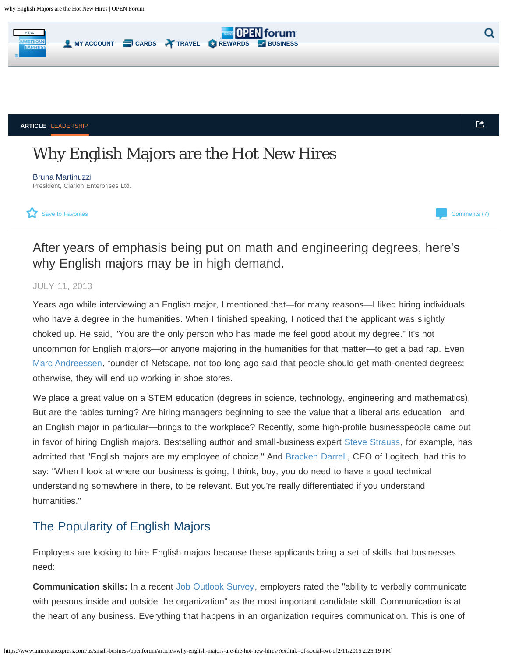<span id="page-0-0"></span>

**ARTICLE** [LEADERSHIP](https://www.americanexpress.com/us/small-business/openforum/topics/leadership/)

# Why English Majors are the Hot New Hires

[Bruna Martinuzzi](https://www.americanexpress.com/us/small-business/openforum/members/brunamartinuzzi/?linknav=us-openforum-article-author-top) President, Clarion Enterprises Ltd.



[Comments \(7\)](#page--1-0)

色

United States [\(Change Country\)](https://www.americanexpress.com/change-country/?inav=iNavUtilChangeCountry)

## After years of emphasis being put on math and engineering degrees, here's why English majors may be in high demand.

#### JULY 11, 2013

Years ago while interviewing an English major, I mentioned that—for many reasons—I liked hiring individuals who have a degree in the humanities. When I finished speaking, I noticed that the applicant was slightly choked up. He said, "You are the only person who has made me feel good about my degree." It's not uncommon for English majors—or anyone majoring in the humanities for that matter—to get a bad rap. Even [Marc Andreessen,](http://www.businessinsider.com/sorry-english-majors-but-youre-all-soft-and-destined-to-work-in-a-shoe-store-2012-12) founder of Netscape, not too long ago said that people should get math-oriented degrees; otherwise, they will end up working in shoe stores.

We place a great value on a STEM education (degrees in science, technology, engineering and mathematics). But are the tables turning? Are hiring managers beginning to see the value that a liberal arts education—and an English major in particular—brings to the workplace? Recently, some high-profile businesspeople came out in favor of hiring English majors. Bestselling author and small-business expert [Steve Strauss](http://www.huffingtonpost.com/steve-strauss/hiring-english-majors_b_3484409.html), for example, has admitted that "English majors are my employee of choice." And [Bracken Darrell,](http://www.businessinsider.com/logitech-ceo-bracken-darrell-loves-hiring-english-majors-2013-6) CEO of Logitech, had this to say: "When I look at where our business is going, I think, boy, you do need to have a good technical understanding somewhere in there, to be relevant. But you're really differentiated if you understand humanities."

### The Popularity of English Majors

Employers are looking to hire English majors because these applicants bring a set of skills that businesses need:

**Communication skills:** In a recent [Job Outlook Survey](http://www.naceweb.org/s10242012/skills-abilities-qualities-new-hires/), employers rated the "ability to verbally communicate with persons inside and outside the organization" as the most important candidate skill. Communication is at the heart of any business. Everything that happens in an organization requires communication. This is one of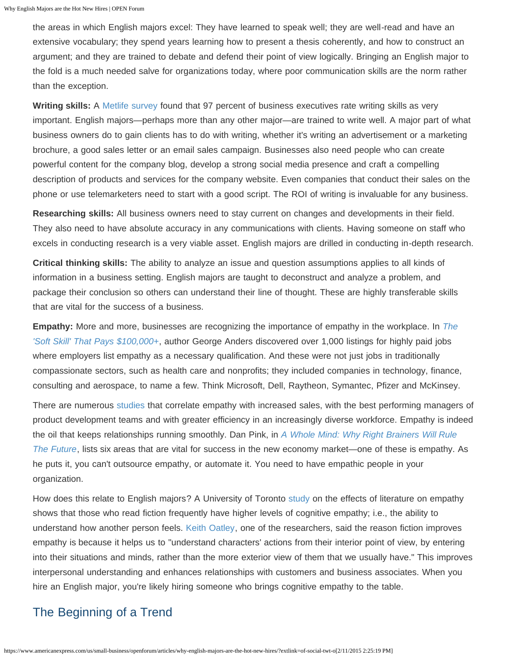the areas in which English majors excel: They have learned to speak well; they are well-read and have an extensive vocabulary; they spend years learning how to present a thesis coherently, and how to construct an argument; and they are trained to debate and defend their point of view logically. Bringing an English major to the fold is a much needed salve for organizations today, where poor communication skills are the norm rather than the exception.

**Writing skills:** A [Metlife survey](https://www.metlife.com/assets/cao/contributions/foundation/american-teacher/MetLife_Teacher_Survey_2010.pdf) found that 97 percent of business executives rate writing skills as very important. English majors—perhaps more than any other major—are trained to write well. A major part of what business owners do to gain clients has to do with writing, whether it's writing an advertisement or a marketing brochure, a good sales letter or an email sales campaign. Businesses also need people who can create powerful content for the company blog, develop a strong social media presence and craft a compelling description of products and services for the company website. Even companies that conduct their sales on the phone or use telemarketers need to start with a good script. The ROI of writing is invaluable for any business.

**Researching skills:** All business owners need to stay current on changes and developments in their field. They also need to have absolute accuracy in any communications with clients. Having someone on staff who excels in conducting research is a very viable asset. English majors are drilled in conducting in-depth research.

**Critical thinking skills:** The ability to analyze an issue and question assumptions applies to all kinds of information in a business setting. English majors are taught to deconstruct and analyze a problem, and package their conclusion so others can understand their line of thought. These are highly transferable skills that are vital for the success of a business.

**Empathy:** More and more, businesses are recognizing the importance of empathy in the workplace. In *[The](http://www.linkedin.com/today/post/article/20130626195513-59549-empathy-and-jobs-that-pay-100-000) ['Soft Skill' That Pays \\$100,000+](http://www.linkedin.com/today/post/article/20130626195513-59549-empathy-and-jobs-that-pay-100-000)*, author George Anders discovered over 1,000 listings for highly paid jobs where employers list empathy as a necessary qualification. And these were not just jobs in traditionally compassionate sectors, such as health care and nonprofits; they included companies in technology, finance, consulting and aerospace, to name a few. Think Microsoft, Dell, Raytheon, Symantec, Pfizer and McKinsey.

There are numerous [studies](http://www.eiconsortium.org/reports/business_case_for_ei.html) that correlate empathy with increased sales, with the best performing managers of product development teams and with greater efficiency in an increasingly diverse workforce. Empathy is indeed the oil that keeps relationships running smoothly. Dan Pink, in *[A Whole Mind: Why Right Brainers Will Rule](http://www.danpink.com/books/whole-new-mind) [The Future](http://www.danpink.com/books/whole-new-mind)*, lists six areas that are vital for success in the new economy market—one of these is empathy. As he puts it, you can't outsource empathy, or automate it. You need to have empathic people in your organization.

How does this relate to English majors? A University of Toronto [study](http://benjamins.com/#catalog/journals/ssol.3.1.06dji/details) on the effects of literature on empathy shows that those who read fiction frequently have higher levels of cognitive empathy; i.e., the ability to understand how another person feels. [Keith Oatley](http://www.guardian.co.uk/books/2011/sep/07/reading-fiction-empathy-study), one of the researchers, said the reason fiction improves empathy is because it helps us to "understand characters' actions from their interior point of view, by entering into their situations and minds, rather than the more exterior view of them that we usually have." This improves interpersonal understanding and enhances relationships with customers and business associates. When you hire an English major, you're likely hiring someone who brings cognitive empathy to the table.

### The Beginning of a Trend